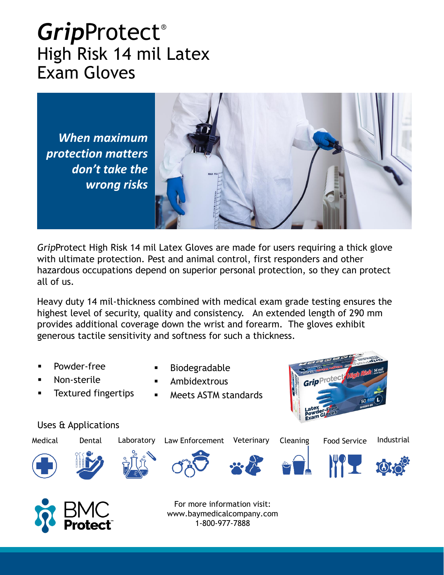## *Grip*Protect® High Risk 14 mil Latex Exam Gloves

*When maximum protection matters don't take the wrong risks*



*Grip*Protect High Risk 14 mil Latex Gloves are made for users requiring a thick glove with ultimate protection. Pest and animal control, first responders and other hazardous occupations depend on superior personal protection, so they can protect all of us.

Heavy duty 14 mil-thickness combined with medical exam grade testing ensures the highest level of security, quality and consistency. An extended length of 290 mm provides additional coverage down the wrist and forearm. The gloves exhibit generous tactile sensitivity and softness for such a thickness.

- Powder-free
- **Biodegradable**
- Non-sterile
- **Textured fingertips**
- **Ambidextrous**
- Meets ASTM standards



## Uses & Applications



www.baymedicalcompany.com 1-800-977-7888